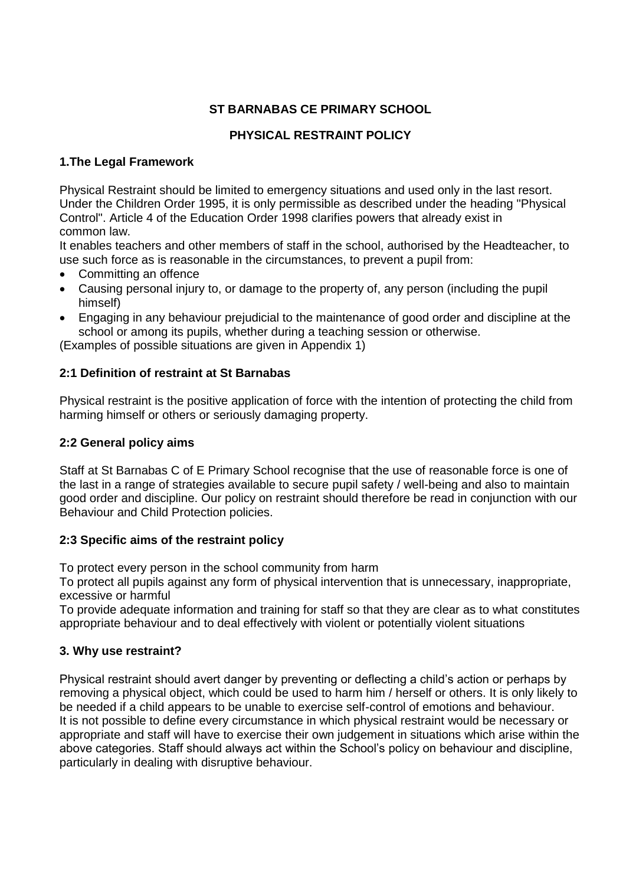## **ST BARNABAS CE PRIMARY SCHOOL**

## **PHYSICAL RESTRAINT POLICY**

#### **1.The Legal Framework**

Physical Restraint should be limited to emergency situations and used only in the last resort. Under the Children Order 1995, it is only permissible as described under the heading "Physical Control". Article 4 of the Education Order 1998 clarifies powers that already exist in common law.

It enables teachers and other members of staff in the school, authorised by the Headteacher, to use such force as is reasonable in the circumstances, to prevent a pupil from:

- Committing an offence
- Causing personal injury to, or damage to the property of, any person (including the pupil himself)
- Engaging in any behaviour prejudicial to the maintenance of good order and discipline at the school or among its pupils, whether during a teaching session or otherwise.

(Examples of possible situations are given in Appendix 1)

## **2:1 Definition of restraint at St Barnabas**

Physical restraint is the positive application of force with the intention of protecting the child from harming himself or others or seriously damaging property.

### **2:2 General policy aims**

Staff at St Barnabas C of E Primary School recognise that the use of reasonable force is one of the last in a range of strategies available to secure pupil safety / well-being and also to maintain good order and discipline. Our policy on restraint should therefore be read in conjunction with our Behaviour and Child Protection policies.

#### **2:3 Specific aims of the restraint policy**

To protect every person in the school community from harm

To protect all pupils against any form of physical intervention that is unnecessary, inappropriate, excessive or harmful

To provide adequate information and training for staff so that they are clear as to what constitutes appropriate behaviour and to deal effectively with violent or potentially violent situations

#### **3. Why use restraint?**

Physical restraint should avert danger by preventing or deflecting a child's action or perhaps by removing a physical object, which could be used to harm him / herself or others. It is only likely to be needed if a child appears to be unable to exercise self-control of emotions and behaviour. It is not possible to define every circumstance in which physical restraint would be necessary or appropriate and staff will have to exercise their own judgement in situations which arise within the above categories. Staff should always act within the School's policy on behaviour and discipline, particularly in dealing with disruptive behaviour.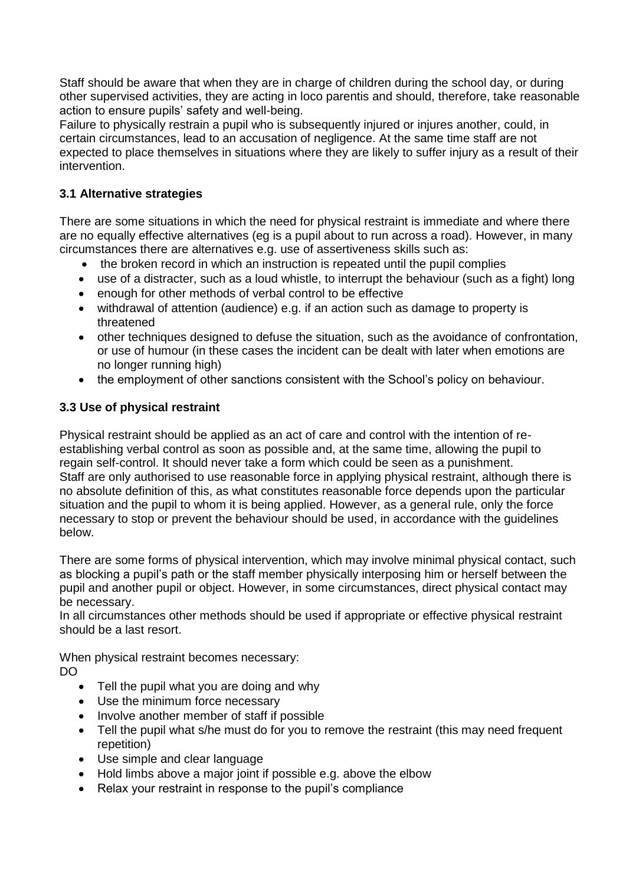Staff should be aware that when they are in charge of children during the school day, or during other supervised activities, they are acting in loco parentis and should, therefore, take reasonable action to ensure pupils' safety and well-being.

Failure to physically restrain a pupil who is subsequently injured or injures another, could, in certain circumstances, lead to an accusation of negligence. At the same time staff are not expected to place themselves in situations where they are likely to suffer injury as a result of their intervention.

## **3.1 Alternative strategies**

There are some situations in which the need for physical restraint is immediate and where there are no equally effective alternatives (eg is a pupil about to run across a road). However, in many circumstances there are alternatives e.g. use of assertiveness skills such as:

- the broken record in which an instruction is repeated until the pupil complies
- use of a distracter, such as a loud whistle, to interrupt the behaviour (such as a fight) long
- enough for other methods of verbal control to be effective
- withdrawal of attention (audience) e.g. if an action such as damage to property is threatened
- other techniques designed to defuse the situation, such as the avoidance of confrontation, or use of humour (in these cases the incident can be dealt with later when emotions are no longer running high)
- the employment of other sanctions consistent with the School's policy on behaviour.

#### **3.3 Use of physical restraint**

Physical restraint should be applied as an act of care and control with the intention of reestablishing verbal control as soon as possible and, at the same time, allowing the pupil to regain self-control. It should never take a form which could be seen as a punishment. Staff are only authorised to use reasonable force in applying physical restraint, although there is no absolute definition of this, as what constitutes reasonable force depends upon the particular situation and the pupil to whom it is being applied. However, as a general rule, only the force necessary to stop or prevent the behaviour should be used, in accordance with the guidelines below.

There are some forms of physical intervention, which may involve minimal physical contact, such as blocking a pupil's path or the staff member physically interposing him or herself between the pupil and another pupil or object. However, in some circumstances, direct physical contact may be necessary.

In all circumstances other methods should be used if appropriate or effective physical restraint should be a last resort.

When physical restraint becomes necessary:

- DO
	- Tell the pupil what you are doing and why
	- Use the minimum force necessary
	- Involve another member of staff if possible
	- Tell the pupil what s/he must do for you to remove the restraint (this may need frequent repetition)
	- Use simple and clear language
	- Hold limbs above a major joint if possible e.g. above the elbow
	- Relax your restraint in response to the pupil's compliance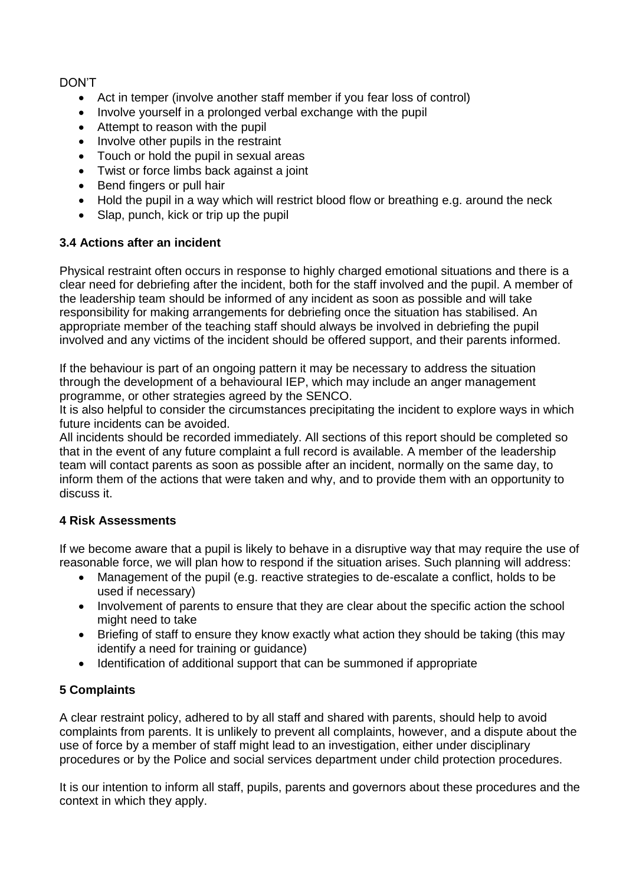#### DON'T

- Act in temper (involve another staff member if you fear loss of control)
- Involve yourself in a prolonged verbal exchange with the pupil
- Attempt to reason with the pupil
- Involve other pupils in the restraint
- Touch or hold the pupil in sexual areas
- Twist or force limbs back against a joint
- Bend fingers or pull hair
- Hold the pupil in a way which will restrict blood flow or breathing e.g. around the neck
- Slap, punch, kick or trip up the pupil

#### **3.4 Actions after an incident**

Physical restraint often occurs in response to highly charged emotional situations and there is a clear need for debriefing after the incident, both for the staff involved and the pupil. A member of the leadership team should be informed of any incident as soon as possible and will take responsibility for making arrangements for debriefing once the situation has stabilised. An appropriate member of the teaching staff should always be involved in debriefing the pupil involved and any victims of the incident should be offered support, and their parents informed.

If the behaviour is part of an ongoing pattern it may be necessary to address the situation through the development of a behavioural IEP, which may include an anger management programme, or other strategies agreed by the SENCO.

It is also helpful to consider the circumstances precipitating the incident to explore ways in which future incidents can be avoided.

All incidents should be recorded immediately. All sections of this report should be completed so that in the event of any future complaint a full record is available. A member of the leadership team will contact parents as soon as possible after an incident, normally on the same day, to inform them of the actions that were taken and why, and to provide them with an opportunity to discuss it.

#### **4 Risk Assessments**

If we become aware that a pupil is likely to behave in a disruptive way that may require the use of reasonable force, we will plan how to respond if the situation arises. Such planning will address:

- Management of the pupil (e.g. reactive strategies to de-escalate a conflict, holds to be used if necessary)
- Involvement of parents to ensure that they are clear about the specific action the school might need to take
- Briefing of staff to ensure they know exactly what action they should be taking (this may identify a need for training or guidance)
- Identification of additional support that can be summoned if appropriate

#### **5 Complaints**

A clear restraint policy, adhered to by all staff and shared with parents, should help to avoid complaints from parents. It is unlikely to prevent all complaints, however, and a dispute about the use of force by a member of staff might lead to an investigation, either under disciplinary procedures or by the Police and social services department under child protection procedures.

It is our intention to inform all staff, pupils, parents and governors about these procedures and the context in which they apply.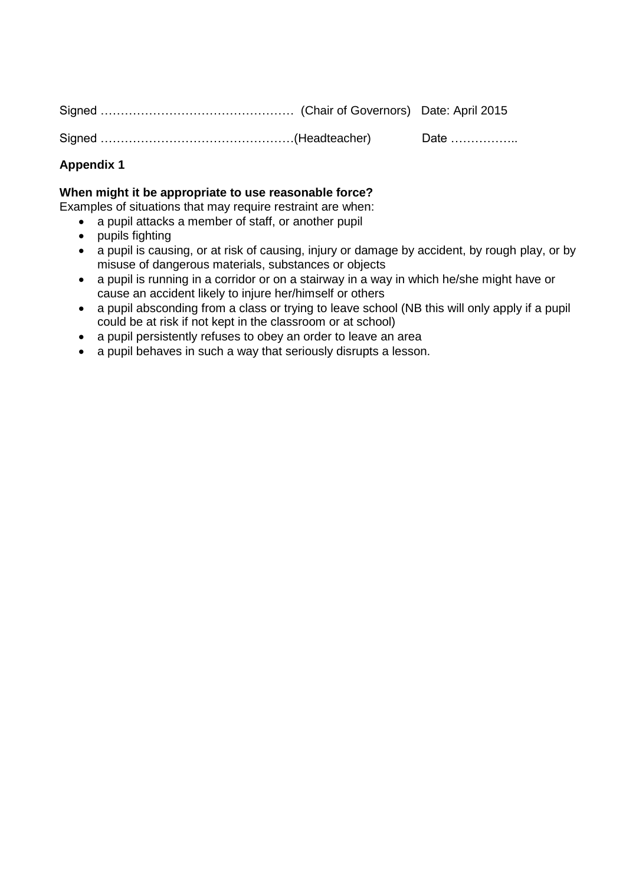## **Appendix 1**

## **When might it be appropriate to use reasonable force?**

Examples of situations that may require restraint are when:

- a pupil attacks a member of staff, or another pupil
- pupils fighting
- a pupil is causing, or at risk of causing, injury or damage by accident, by rough play, or by misuse of dangerous materials, substances or objects
- a pupil is running in a corridor or on a stairway in a way in which he/she might have or cause an accident likely to injure her/himself or others
- a pupil absconding from a class or trying to leave school (NB this will only apply if a pupil could be at risk if not kept in the classroom or at school)
- a pupil persistently refuses to obey an order to leave an area
- a pupil behaves in such a way that seriously disrupts a lesson.